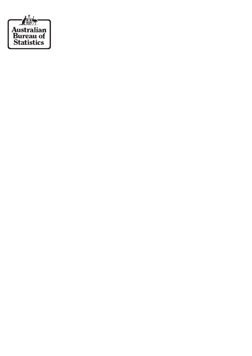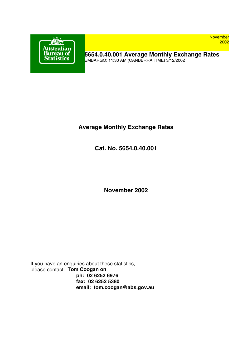

**November** 2002

**5654.0.40.001 Average Monthly Exchange Rates** EMBARGO: 11:30 AM (CANBERRA TIME) 3/12/2002

## **Average Monthly Exchange Rates**

**Cat. No. 5654.0.40.001**

**November 2002**

If you have an enquiries about these statistics, please contact: **Tom Coogan on ph: 02 6252 6976 fax: 02 6252 5380 email: tom.coogan@abs.gov.au**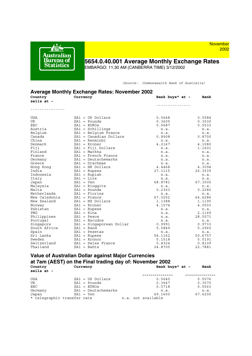

# **5654.0.40.001 Average Monthly Exchange Rates**

EMBARGO: 11:30 AM (CANBERRA TIME) 3/12/2002

*(Source: Commonwealth Bank of Australia)*

| <b>Average Monthly Exchange Rates: November 2002</b><br>Country<br>Currency<br>sells at -                                              | Bank buys* at -                        | Bank                                   |
|----------------------------------------------------------------------------------------------------------------------------------------|----------------------------------------|----------------------------------------|
|                                                                                                                                        | -------------                          |                                        |
| USA<br>$$A1 = US Dollars$<br>UK<br>$$A1 = Pounds$<br>EEC<br>$$AI = EUROS$                                                              | 0.5648<br>0.3605<br>0.5687             | 0.5584<br>0.3530<br>0.5533             |
| $$A1 = Schillings$<br>Austria<br>Belqium<br>$$A1 = Belqium Frances$<br>Canada<br>$$A1 = Canadian Dollars$<br>China<br>$$A1 = Renminbi$ | n.a.<br>n.a.<br>0.8908<br>n.a.         | n.a.<br>n.a.<br>0.8700<br>n.a.         |
| Denmark<br>$$AI = Kroner$<br>Fiji<br>$$A1 = Fiji$ Dollars<br>Finland<br>$$A1 = Markka$                                                 | 4.2167<br>n.a.<br>n.a.                 | 4.1080<br>1.1601<br>n.a.               |
| France<br>$$A1$ = French Francs<br>$$A1 = Deutschemarks$<br>Germany<br>Greece<br>$$A1 = Drachmae$<br>$$A1$ = HK Dollars<br>Hong Kong   | n.a.<br>n.a.<br>n.a.<br>4.4468         | n.a.<br>n.a.<br>n.a.<br>4.3094         |
| India<br>$$A1 = Rupees$<br>Indonesia<br>$$A1 = Rupiah$<br>Italy<br>$$AI = Life$                                                        | 27.1115<br>n.a.<br>n.a.                | 26.3539<br>n.a.<br>n.a.                |
| $$A1 = Yen$<br>Japan<br>Malaysia<br>$$A1 = Ringqits$<br>Malta<br>$$A1 = Pounds$                                                        | 68.8781<br>n.a.<br>0.2363              | 67.3505<br>n.a.<br>0.2280              |
| Netherlands<br>$$AI = Florins$<br>New Caledonia<br>$$A1 =$ Francs<br>New Zealand<br>$$A1 = NZ Dollars$<br>Norway<br>$$AI = Kroner$     | n.a.<br>67.0252<br>1.1388<br>4.1574    | n.a.<br>64.6286<br>1.1195<br>4.0503    |
| Pakistan<br>$$A1 = Rupees$<br>PNG<br>$$A1 =$ Kina<br>Philippines<br>$$A1 = Pesos$<br>Portugal<br>$$AI = Escudos$                       | n.a.<br>n.a.<br>n.a.<br>n.a.           | n.a.<br>2.1169<br>28.5571<br>n.a.      |
| \$A1 = Singaporean Dollar<br>Singapore<br>South Africa<br>$$A1 = Rand$<br>Spain<br>$$AI = Pesetas$                                     | 0.9991<br>5.5849<br>n.a.               | 0.9733<br>5.2960<br>n.a.               |
| Sri Lanka<br>$$A1 = Rupees$<br>Sweden<br>$$AI = Kronor$<br>Switzerland<br>$$A1 = Swiss Francis$<br>Thailand<br>$$A1 = Bahts$           | 54.1162<br>5.1518<br>0.8324<br>24.8705 | 50.6757<br>5.0191<br>0.8109<br>22.7881 |

#### **Value of Australian Dollar against Major Currencies at 7am (AEST) on the Final trading day of: November 2002** Bank buys\* at - Bank **sells at -**

| seiis at - |                             |                    |         |
|------------|-----------------------------|--------------------|---------|
|            |                             |                    |         |
| USA        | $$A1 = US Dollars$          | 0.5640             | 0.5576  |
| UK         | $SAI = Pounds$              | 0.3647             | 0.3570  |
| EEC        | $$A1 = EUROS$               | 0.5718             | 0.5563  |
| Germany    | $$A1 = Deutschemarks$       | n.a.               | n.a.    |
| Japan      | $SA1 = Yen$                 | 69.1600            | 67.6200 |
|            | * telegraphic transfer rate | n.a. not available |         |